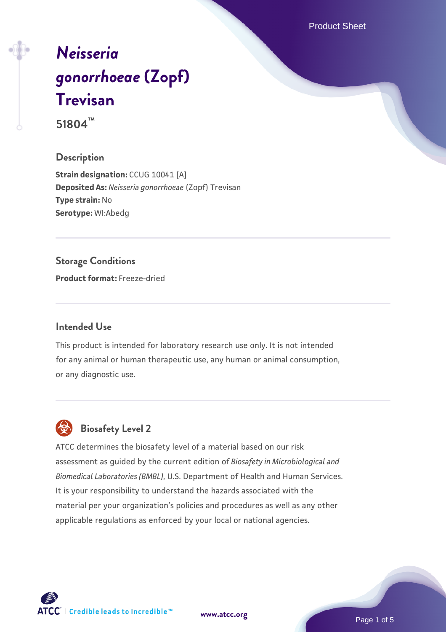Product Sheet

# *[Neisseria](https://www.atcc.org/products/51804) [gonorrhoeae](https://www.atcc.org/products/51804)* **[\(Zopf\)](https://www.atcc.org/products/51804) [Trevisan](https://www.atcc.org/products/51804)**

**51804™**

#### **Description**

**Strain designation: CCUG 10041 [A] Deposited As:** *Neisseria gonorrhoeae* (Zopf) Trevisan **Type strain:** No **Serotype:** WI:Abedg

#### **Storage Conditions**

**Product format:** Freeze-dried

#### **Intended Use**

This product is intended for laboratory research use only. It is not intended for any animal or human therapeutic use, any human or animal consumption, or any diagnostic use.

## **Biosafety Level 2**

ATCC determines the biosafety level of a material based on our risk assessment as guided by the current edition of *Biosafety in Microbiological and Biomedical Laboratories (BMBL)*, U.S. Department of Health and Human Services. It is your responsibility to understand the hazards associated with the material per your organization's policies and procedures as well as any other applicable regulations as enforced by your local or national agencies.

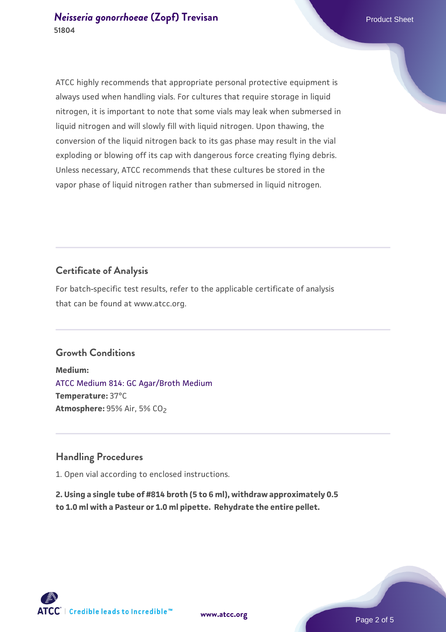ATCC highly recommends that appropriate personal protective equipment is always used when handling vials. For cultures that require storage in liquid nitrogen, it is important to note that some vials may leak when submersed in liquid nitrogen and will slowly fill with liquid nitrogen. Upon thawing, the conversion of the liquid nitrogen back to its gas phase may result in the vial exploding or blowing off its cap with dangerous force creating flying debris. Unless necessary, ATCC recommends that these cultures be stored in the vapor phase of liquid nitrogen rather than submersed in liquid nitrogen.

#### **Certificate of Analysis**

For batch-specific test results, refer to the applicable certificate of analysis that can be found at www.atcc.org.

#### **Growth Conditions**

**Medium:**  [ATCC Medium 814: GC Agar/Broth Medium](https://www.atcc.org/-/media/product-assets/documents/microbial-media-formulations/8/1/4/atcc-medium-814.pdf?rev=35b7a8bd934e4c89ac299828e59c3922) **Temperature:** 37°C **Atmosphere: 95% Air, 5% CO<sub>2</sub>** 

#### **Handling Procedures**

1. Open vial according to enclosed instructions.

**2. Using a single tube of #814 broth (5 to 6 ml), withdraw approximately 0.5 to 1.0 ml with a Pasteur or 1.0 ml pipette. Rehydrate the entire pellet.**

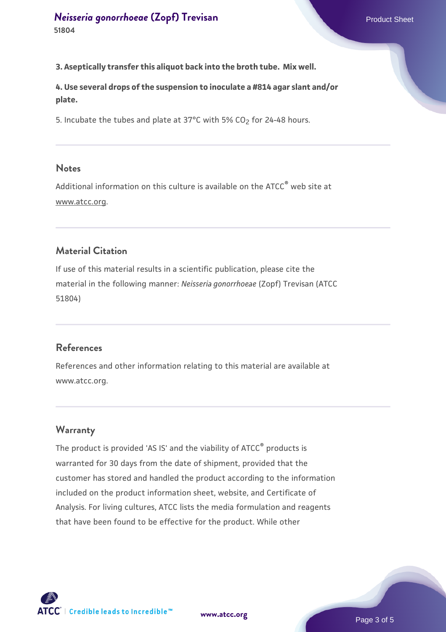*[Neisseria gonorrhoeae](https://www.atcc.org/products/51804)* [\(Zopf\) Trevisan](https://www.atcc.org/products/51804) **Product Sheet** Product Sheet **51804**

**4. Use several drops of the suspension to inoculate a #814 agar slant and/or plate.**

5. Incubate the tubes and plate at 37°C with 5% CO<sub>2</sub> for 24-48 hours.

#### **Notes**

Additional information on this culture is available on the ATCC® web site at www.atcc.org.

#### **Material Citation**

If use of this material results in a scientific publication, please cite the material in the following manner: *Neisseria gonorrhoeae* (Zopf) Trevisan (ATCC 51804)

#### **References**

References and other information relating to this material are available at www.atcc.org.

#### **Warranty**

The product is provided 'AS IS' and the viability of ATCC® products is warranted for 30 days from the date of shipment, provided that the customer has stored and handled the product according to the information included on the product information sheet, website, and Certificate of Analysis. For living cultures, ATCC lists the media formulation and reagents that have been found to be effective for the product. While other

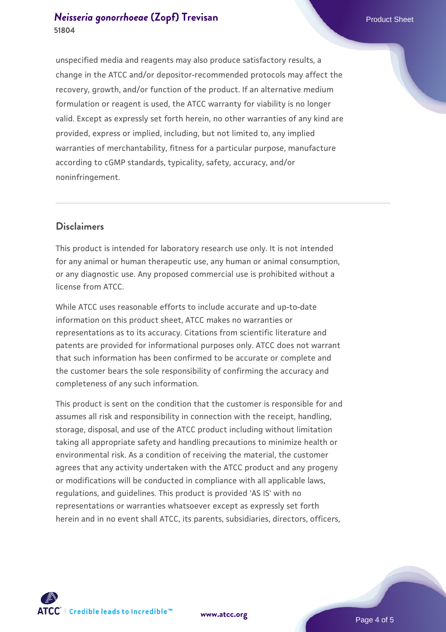#### *[Neisseria gonorrhoeae](https://www.atcc.org/products/51804)* [\(Zopf\) Trevisan](https://www.atcc.org/products/51804) **Product Sheet** Product Sheet **51804**

unspecified media and reagents may also produce satisfactory results, a change in the ATCC and/or depositor-recommended protocols may affect the recovery, growth, and/or function of the product. If an alternative medium formulation or reagent is used, the ATCC warranty for viability is no longer valid. Except as expressly set forth herein, no other warranties of any kind are provided, express or implied, including, but not limited to, any implied warranties of merchantability, fitness for a particular purpose, manufacture according to cGMP standards, typicality, safety, accuracy, and/or noninfringement.

#### **Disclaimers**

This product is intended for laboratory research use only. It is not intended for any animal or human therapeutic use, any human or animal consumption, or any diagnostic use. Any proposed commercial use is prohibited without a license from ATCC.

While ATCC uses reasonable efforts to include accurate and up-to-date information on this product sheet, ATCC makes no warranties or representations as to its accuracy. Citations from scientific literature and patents are provided for informational purposes only. ATCC does not warrant that such information has been confirmed to be accurate or complete and the customer bears the sole responsibility of confirming the accuracy and completeness of any such information.

This product is sent on the condition that the customer is responsible for and assumes all risk and responsibility in connection with the receipt, handling, storage, disposal, and use of the ATCC product including without limitation taking all appropriate safety and handling precautions to minimize health or environmental risk. As a condition of receiving the material, the customer agrees that any activity undertaken with the ATCC product and any progeny or modifications will be conducted in compliance with all applicable laws, regulations, and guidelines. This product is provided 'AS IS' with no representations or warranties whatsoever except as expressly set forth herein and in no event shall ATCC, its parents, subsidiaries, directors, officers,